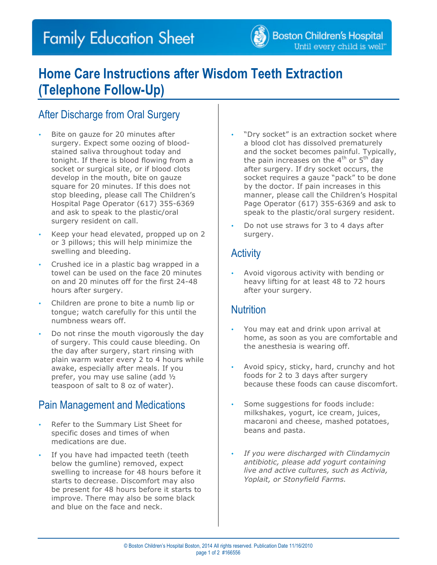# **Family Education Sheet**



## **Home Care Instructions after Wisdom Teeth Extraction (Telephone Follow-Up)**

### After Discharge from Oral Surgery

- Bite on gauze for 20 minutes after surgery. Expect some oozing of bloodstained saliva throughout today and tonight. If there is blood flowing from a socket or surgical site, or if blood clots develop in the mouth, bite on gauze square for 20 minutes. If this does not stop bleeding, please call The Children's Hospital Page Operator (617) 355-6369 and ask to speak to the plastic/oral surgery resident on call.
- Keep your head elevated, propped up on 2 or 3 pillows; this will help minimize the swelling and bleeding.
- Crushed ice in a plastic bag wrapped in a towel can be used on the face 20 minutes on and 20 minutes off for the first 24-48 hours after surgery.
- Children are prone to bite a numb lip or tongue; watch carefully for this until the numbness wears off.
- Do not rinse the mouth vigorously the day of surgery. This could cause bleeding. On the day after surgery, start rinsing with plain warm water every 2 to 4 hours while awake, especially after meals. If you prefer, you may use saline (add ½ teaspoon of salt to 8 oz of water).

### Pain Management and Medications

- Refer to the Summary List Sheet for specific doses and times of when medications are due.
- If you have had impacted teeth (teeth below the gumline) removed, expect swelling to increase for 48 hours before it starts to decrease. Discomfort may also be present for 48 hours before it starts to improve. There may also be some black and blue on the face and neck.
- "Dry socket" is an extraction socket where a blood clot has dissolved prematurely and the socket becomes painful. Typically, the pain increases on the  $4<sup>th</sup>$  or  $5<sup>th</sup>$  day after surgery. If dry socket occurs, the socket requires a gauze "pack" to be done by the doctor. If pain increases in this manner, please call the Children's Hospital Page Operator (617) 355-6369 and ask to speak to the plastic/oral surgery resident.
- Do not use straws for 3 to 4 days after surgery.

### **Activity**

• Avoid vigorous activity with bending or heavy lifting for at least 48 to 72 hours after your surgery.

#### **Nutrition**

- You may eat and drink upon arrival at home, as soon as you are comfortable and the anesthesia is wearing off.
- Avoid spicy, sticky, hard, crunchy and hot foods for 2 to 3 days after surgery because these foods can cause discomfort.
- Some suggestions for foods include: milkshakes, yogurt, ice cream, juices, macaroni and cheese, mashed potatoes, beans and pasta.
- *If you were discharged with Clindamycin antibiotic, please add yogurt containing live and active cultures, such as Activia, Yoplait, or Stonyfield Farms.*